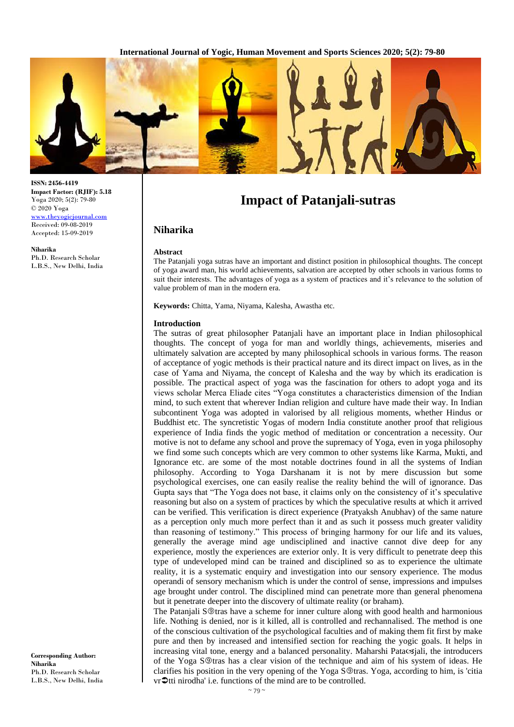

**ISSN: 2456-4419 Impact Factor: (RJIF): 5.18** Yoga 2020; 5(2): 79-80 © 2020 Yoga <www.theyogicjournal.com> Received: 09-08-2019 Accepted: 15-09-2019

**Niharika** Ph.D. Research Scholar L.B.S., New Delhi, India **Impact of Patanjali-sutras**

# **Niharika**

## **Abstract**

The Patanjali yoga sutras have an important and distinct position in philosophical thoughts. The concept of yoga award man, his world achievements, salvation are accepted by other schools in various forms to suit their interests. The advantages of yoga as a system of practices and it's relevance to the solution of value problem of man in the modern era.

**Keywords:** Chitta, Yama, Niyama, Kalesha, Awastha etc.

#### **Introduction**

The sutras of great philosopher Patanjali have an important place in Indian philosophical thoughts. The concept of yoga for man and worldly things, achievements, miseries and ultimately salvation are accepted by many philosophical schools in various forms. The reason of acceptance of yogic methods is their practical nature and its direct impact on lives, as in the case of Yama and Niyama, the concept of Kalesha and the way by which its eradication is possible. The practical aspect of yoga was the fascination for others to adopt yoga and its views scholar Merca Eliade cites "Yoga constitutes a characteristics dimension of the Indian mind, to such extent that wherever Indian religion and culture have made their way. In Indian subcontinent Yoga was adopted in valorised by all religious moments, whether Hindus or Buddhist etc. The syncretistic Yogas of modern India constitute another proof that religious experience of India finds the yogic method of meditation or concentration a necessity. Our motive is not to defame any school and prove the supremacy of Yoga, even in yoga philosophy we find some such concepts which are very common to other systems like Karma, Mukti, and Ignorance etc. are some of the most notable doctrines found in all the systems of Indian philosophy. According to Yoga Darshanam it is not by mere discussion but some psychological exercises, one can easily realise the reality behind the will of ignorance. Das Gupta says that "The Yoga does not base, it claims only on the consistency of it's speculative reasoning but also on a system of practices by which the speculative results at which it arrived can be verified. This verification is direct experience (Pratyaksh Anubhav) of the same nature as a perception only much more perfect than it and as such it possess much greater validity than reasoning of testimony." This process of bringing harmony for our life and its values, generally the average mind age undisciplined and inactive cannot dive deep for any experience, mostly the experiences are exterior only. It is very difficult to penetrate deep this type of undeveloped mind can be trained and disciplined so as to experience the ultimate reality, it is a systematic enquiry and investigation into our sensory experience. The modus operandi of sensory mechanism which is under the control of sense, impressions and impulses age brought under control. The disciplined mind can penetrate more than general phenomena but it penetrate deeper into the discovery of ultimate reality (or braham).

The Patanjali  $S\circled{a}$  tras have a scheme for inner culture along with good health and harmonious life. Nothing is denied, nor is it killed, all is controlled and rechannalised. The method is one of the conscious cultivation of the psychological faculties and of making them fit first by make pure and then by increased and intensified section for reaching the yogic goals. It helps in increasing vital tone, energy and a balanced personality. Maharshi Patac sjali, the introducers of the Yoga S $\circ$ tras has a clear vision of the technique and aim of his system of ideas. He clarifies his position in the very opening of the Yoga  $\mathcal{S}^{\otimes}$  according to him, is 'citial  $vr$  $Dtti$  nirodha' i.e. functions of the mind are to be controlled.

**Corresponding Author: Niharika** Ph.D. Research Scholar L.B.S., New Delhi, India